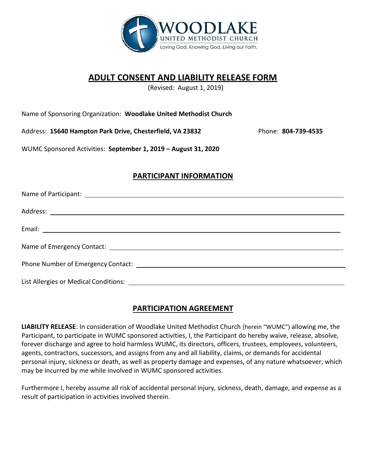

## **ADULT CONSENT AND LIABILITY RELEASE FORM**

(Revised: August 1, 2019)

Name of Sponsoring Organization: **Woodlake United Methodist Church** 

Address: **15640 Hampton Park Drive, Chesterfield, VA 23832** 

Phone: **804-739-4535** 

WUMC Sponsored Activities: **September 1, 2019 – August 31, 2020**

## **PARTICIPANT INFORMATION**

| Name of Emergency Contact: Learning and Contact: Learning and Contact Contact Contact Contact Contact: Learning and Contact: Learning and Contact: Learning and Contact: Learning and Contact: Learning and Contact: Learning |
|-------------------------------------------------------------------------------------------------------------------------------------------------------------------------------------------------------------------------------|
|                                                                                                                                                                                                                               |
|                                                                                                                                                                                                                               |

## **PARTICIPATION AGREEMENT**

**LIABILITY RELEASE**: In consideration of Woodlake United Methodist Church (herein "WUMC") allowing me, the Participant, to participate in WUMC sponsored activities, I, the Participant do hereby waive, release, absolve, forever discharge and agree to hold harmless WUMC, its directors, officers, trustees, employees, volunteers, agents, contractors, successors, and assigns from any and all liability, claims, or demands for accidental personal injury, sickness or death, as well as property damage and expenses, of any nature whatsoever, which may be incurred by me while involved in WUMC sponsored activities.

Furthermore I, hereby assume all risk of accidental personal injury, sickness, death, damage, and expense as a result of participation in activities involved therein.